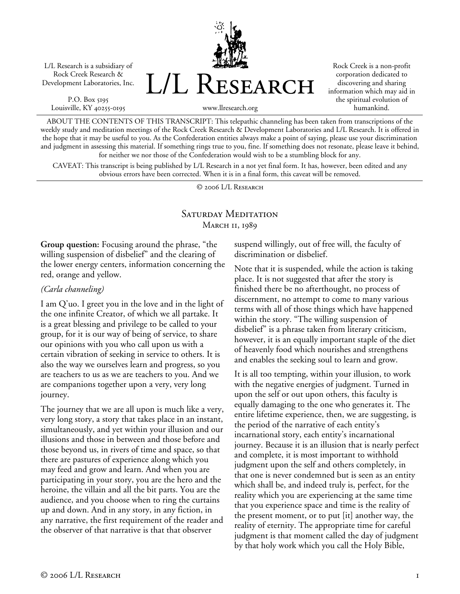L/L Research is a subsidiary of Rock Creek Research & Development Laboratories, Inc.

P.O. Box 5195 Louisville, KY 40255-0195



Rock Creek is a non-profit corporation dedicated to discovering and sharing information which may aid in the spiritual evolution of humankind.

www.llresearch.org

ABOUT THE CONTENTS OF THIS TRANSCRIPT: This telepathic channeling has been taken from transcriptions of the weekly study and meditation meetings of the Rock Creek Research & Development Laboratories and L/L Research. It is offered in the hope that it may be useful to you. As the Confederation entities always make a point of saying, please use your discrimination and judgment in assessing this material. If something rings true to you, fine. If something does not resonate, please leave it behind, for neither we nor those of the Confederation would wish to be a stumbling block for any.

CAVEAT: This transcript is being published by L/L Research in a not yet final form. It has, however, been edited and any obvious errors have been corrected. When it is in a final form, this caveat will be removed.

© 2006 L/L Research

## Saturday Meditation MARCH 11, 1989

**Group question:** Focusing around the phrase, "the willing suspension of disbelief" and the clearing of the lower energy centers, information concerning the red, orange and yellow.

## *(Carla channeling)*

I am Q'uo. I greet you in the love and in the light of the one infinite Creator, of which we all partake. It is a great blessing and privilege to be called to your group, for it is our way of being of service, to share our opinions with you who call upon us with a certain vibration of seeking in service to others. It is also the way we ourselves learn and progress, so you are teachers to us as we are teachers to you. And we are companions together upon a very, very long journey.

The journey that we are all upon is much like a very, very long story, a story that takes place in an instant, simultaneously, and yet within your illusion and our illusions and those in between and those before and those beyond us, in rivers of time and space, so that there are pastures of experience along which you may feed and grow and learn. And when you are participating in your story, you are the hero and the heroine, the villain and all the bit parts. You are the audience, and you choose when to ring the curtains up and down. And in any story, in any fiction, in any narrative, the first requirement of the reader and the observer of that narrative is that that observer

suspend willingly, out of free will, the faculty of discrimination or disbelief.

Note that it is suspended, while the action is taking place. It is not suggested that after the story is finished there be no afterthought, no process of discernment, no attempt to come to many various terms with all of those things which have happened within the story. "The willing suspension of disbelief" is a phrase taken from literary criticism, however, it is an equally important staple of the diet of heavenly food which nourishes and strengthens and enables the seeking soul to learn and grow.

It is all too tempting, within your illusion, to work with the negative energies of judgment. Turned in upon the self or out upon others, this faculty is equally damaging to the one who generates it. The entire lifetime experience, then, we are suggesting, is the period of the narrative of each entity's incarnational story, each entity's incarnational journey. Because it is an illusion that is nearly perfect and complete, it is most important to withhold judgment upon the self and others completely, in that one is never condemned but is seen as an entity which shall be, and indeed truly is, perfect, for the reality which you are experiencing at the same time that you experience space and time is the reality of the present moment, or to put [it] another way, the reality of eternity. The appropriate time for careful judgment is that moment called the day of judgment by that holy work which you call the Holy Bible,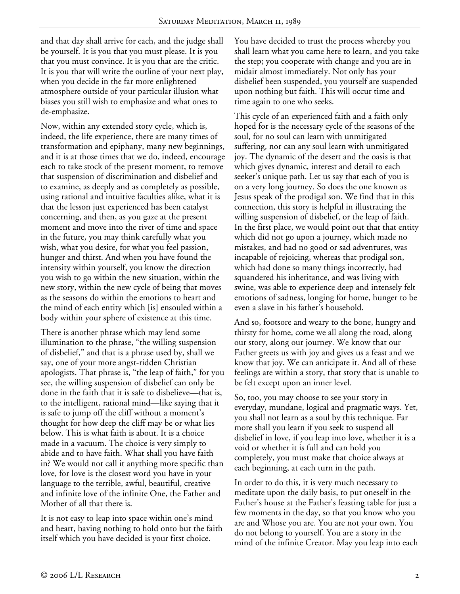and that day shall arrive for each, and the judge shall be yourself. It is you that you must please. It is you that you must convince. It is you that are the critic. It is you that will write the outline of your next play, when you decide in the far more enlightened atmosphere outside of your particular illusion what biases you still wish to emphasize and what ones to de-emphasize.

Now, within any extended story cycle, which is, indeed, the life experience, there are many times of transformation and epiphany, many new beginnings, and it is at those times that we do, indeed, encourage each to take stock of the present moment, to remove that suspension of discrimination and disbelief and to examine, as deeply and as completely as possible, using rational and intuitive faculties alike, what it is that the lesson just experienced has been catalyst concerning, and then, as you gaze at the present moment and move into the river of time and space in the future, you may think carefully what you wish, what you desire, for what you feel passion, hunger and thirst. And when you have found the intensity within yourself, you know the direction you wish to go within the new situation, within the new story, within the new cycle of being that moves as the seasons do within the emotions to heart and the mind of each entity which [is] ensouled within a body within your sphere of existence at this time.

There is another phrase which may lend some illumination to the phrase, "the willing suspension of disbelief," and that is a phrase used by, shall we say, one of your more angst-ridden Christian apologists. That phrase is, "the leap of faith," for you see, the willing suspension of disbelief can only be done in the faith that it is safe to disbelieve—that is, to the intelligent, rational mind—like saying that it is safe to jump off the cliff without a moment's thought for how deep the cliff may be or what lies below. This is what faith is about. It is a choice made in a vacuum. The choice is very simply to abide and to have faith. What shall you have faith in? We would not call it anything more specific than love, for love is the closest word you have in your language to the terrible, awful, beautiful, creative and infinite love of the infinite One, the Father and Mother of all that there is.

It is not easy to leap into space within one's mind and heart, having nothing to hold onto but the faith itself which you have decided is your first choice.

You have decided to trust the process whereby you shall learn what you came here to learn, and you take the step; you cooperate with change and you are in midair almost immediately. Not only has your disbelief been suspended, you yourself are suspended upon nothing but faith. This will occur time and time again to one who seeks.

This cycle of an experienced faith and a faith only hoped for is the necessary cycle of the seasons of the soul, for no soul can learn with unmitigated suffering, nor can any soul learn with unmitigated joy. The dynamic of the desert and the oasis is that which gives dynamic, interest and detail to each seeker's unique path. Let us say that each of you is on a very long journey. So does the one known as Jesus speak of the prodigal son. We find that in this connection, this story is helpful in illustrating the willing suspension of disbelief, or the leap of faith. In the first place, we would point out that that entity which did not go upon a journey, which made no mistakes, and had no good or sad adventures, was incapable of rejoicing, whereas that prodigal son, which had done so many things incorrectly, had squandered his inheritance, and was living with swine, was able to experience deep and intensely felt emotions of sadness, longing for home, hunger to be even a slave in his father's household.

And so, footsore and weary to the bone, hungry and thirsty for home, come we all along the road, along our story, along our journey. We know that our Father greets us with joy and gives us a feast and we know that joy. We can anticipate it. And all of these feelings are within a story, that story that is unable to be felt except upon an inner level.

So, too, you may choose to see your story in everyday, mundane, logical and pragmatic ways. Yet, you shall not learn as a soul by this technique. Far more shall you learn if you seek to suspend all disbelief in love, if you leap into love, whether it is a void or whether it is full and can hold you completely, you must make that choice always at each beginning, at each turn in the path.

In order to do this, it is very much necessary to meditate upon the daily basis, to put oneself in the Father's house at the Father's feasting table for just a few moments in the day, so that you know who you are and Whose you are. You are not your own. You do not belong to yourself. You are a story in the mind of the infinite Creator. May you leap into each